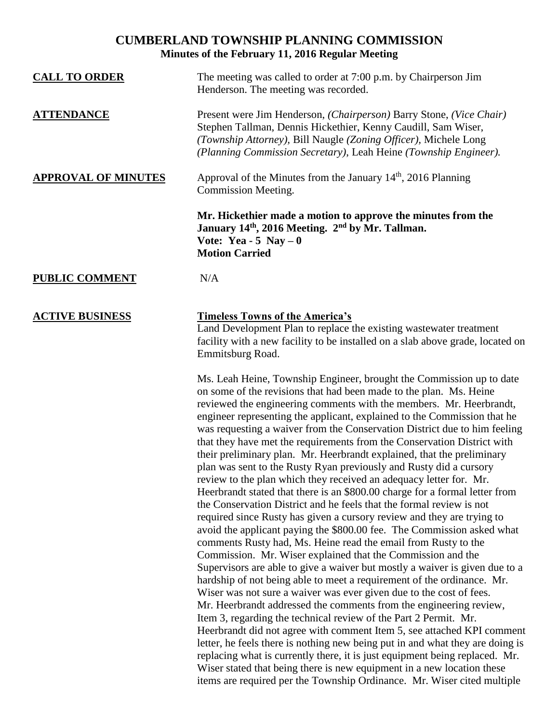## **CUMBERLAND TOWNSHIP PLANNING COMMISSION Minutes of the February 11, 2016 Regular Meeting**

| <b>CALL TO ORDER</b>       | The meeting was called to order at 7:00 p.m. by Chairperson Jim<br>Henderson. The meeting was recorded.                                                                                                                                                                                                                                                                                                                                                                                                                                                                                                                                                                                                                                                    |
|----------------------------|------------------------------------------------------------------------------------------------------------------------------------------------------------------------------------------------------------------------------------------------------------------------------------------------------------------------------------------------------------------------------------------------------------------------------------------------------------------------------------------------------------------------------------------------------------------------------------------------------------------------------------------------------------------------------------------------------------------------------------------------------------|
| <b>ATTENDANCE</b>          | Present were Jim Henderson, (Chairperson) Barry Stone, (Vice Chair)<br>Stephen Tallman, Dennis Hickethier, Kenny Caudill, Sam Wiser,<br>(Township Attorney), Bill Naugle (Zoning Officer), Michele Long<br>(Planning Commission Secretary), Leah Heine (Township Engineer).                                                                                                                                                                                                                                                                                                                                                                                                                                                                                |
| <b>APPROVAL OF MINUTES</b> | Approval of the Minutes from the January $14th$ , 2016 Planning<br>Commission Meeting.                                                                                                                                                                                                                                                                                                                                                                                                                                                                                                                                                                                                                                                                     |
|                            | Mr. Hickethier made a motion to approve the minutes from the<br>January 14 <sup>th</sup> , 2016 Meeting. 2 <sup>nd</sup> by Mr. Tallman.<br>Vote: Yea - 5 Nay $-0$<br><b>Motion Carried</b>                                                                                                                                                                                                                                                                                                                                                                                                                                                                                                                                                                |
| <b>PUBLIC COMMENT</b>      | N/A                                                                                                                                                                                                                                                                                                                                                                                                                                                                                                                                                                                                                                                                                                                                                        |
| <b>ACTIVE BUSINESS</b>     | <b>Timeless Towns of the America's</b><br>Land Development Plan to replace the existing wastewater treatment<br>facility with a new facility to be installed on a slab above grade, located on<br>Emmitsburg Road.                                                                                                                                                                                                                                                                                                                                                                                                                                                                                                                                         |
|                            | Ms. Leah Heine, Township Engineer, brought the Commission up to date<br>on some of the revisions that had been made to the plan. Ms. Heine<br>reviewed the engineering comments with the members. Mr. Heerbrandt,<br>engineer representing the applicant, explained to the Commission that he<br>was requesting a waiver from the Conservation District due to him feeling<br>that they have met the requirements from the Conservation District with<br>their preliminary plan. Mr. Heerbrandt explained, that the preliminary<br>plan was sent to the Rusty Ryan previously and Rusty did a cursory<br>review to the plan which they received an adequacy letter for. Mr.<br>Heerbrandt stated that there is an \$800,00 charge for a formal letter from |

Heerbrandt stated that there is an \$800.00 charge for a formal letter from the Conservation District and he feels that the formal review is not required since Rusty has given a cursory review and they are trying to avoid the applicant paying the \$800.00 fee. The Commission asked what comments Rusty had, Ms. Heine read the email from Rusty to the Commission. Mr. Wiser explained that the Commission and the Supervisors are able to give a waiver but mostly a waiver is given due to a hardship of not being able to meet a requirement of the ordinance. Mr. Wiser was not sure a waiver was ever given due to the cost of fees. Mr. Heerbrandt addressed the comments from the engineering review, Item 3, regarding the technical review of the Part 2 Permit. Mr. Heerbrandt did not agree with comment Item 5, see attached KPI comment letter, he feels there is nothing new being put in and what they are doing is replacing what is currently there, it is just equipment being replaced. Mr. Wiser stated that being there is new equipment in a new location these items are required per the Township Ordinance. Mr. Wiser cited multiple